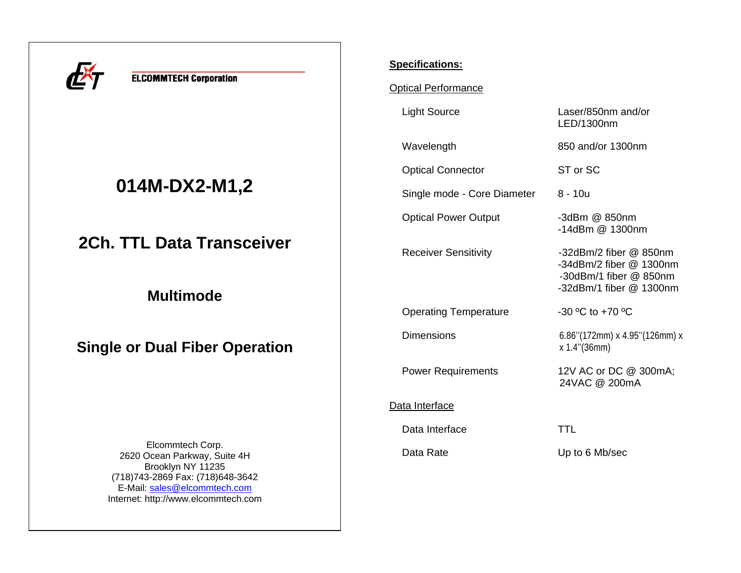

**ELCOMMTECH Corporation** 

# **014M-DX2-M1,2**

**2Ch. TTL Data Transceiver** 

**Multimode** 

**Single or Dual Fiber Operation** 

Elcommtech Corp. 2620 Ocean Parkway, Suite 4H Brooklyn NY 11235 (718)743-2869 Fax: (718)648-3642 E-Mail: sales@elcommtech.comInternet: http://www.elcommtech.com

## **Specifications:**

Optical Performance

Light Source Laser/850nm and/or

Wavelength 850 and/or 1300nm

Optical Connector ST or SC

Single mode - Core Diameter 8 - 10u

Optical Power Output -3dBm @ 850nm

Operating Temperature -30 °C to +70 °C

#### Data Interface

Data Interface TTL

LED/1300nm

-14dBm @ 1300nm

Receiver Sensitivity -32dBm/2 fiber @ 850nm -34dBm/2 fiber @ 1300nm -30dBm/1 fiber @ 850nm -32dBm/1 fiber @ 1300nm

Dimensions 6.86''(172mm) x 4.95''(126mm) x x 1.4''(36mm)

Power Requirements 12V AC or DC @ 300mA; 24VAC @ 200mA

Data Rate Up to 6 Mb/sec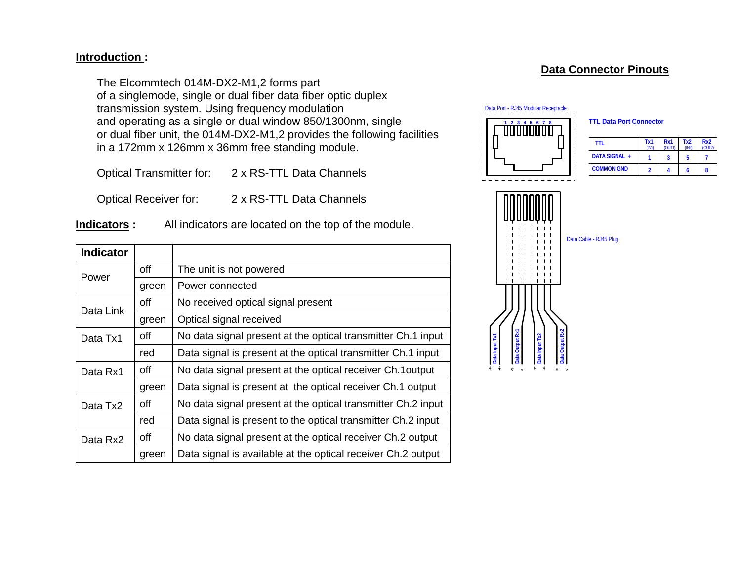### **Introduction :**

The Elcommtech 014M-DX2-M1,2 forms part of a singlemode, single or dual fiber data fiber optic duplex transmission system. Using frequency modulation and operating as a single or dual window 850/1300nm, single or dual fiber unit, the 014M-DX2-M1,2 provides the following facilities in a 172mm x 126mm x 36mm free standing module.

Optical Transmitter for: 2 x RS-TTL Data Channels

Optical Receiver for: 2 x RS-TTL Data Channels

**Indicators :** All indicators are located on the top of the module.

| <b>Indicator</b> |       |                                                              |  |  |
|------------------|-------|--------------------------------------------------------------|--|--|
| Power            | off   | The unit is not powered                                      |  |  |
|                  | green | Power connected                                              |  |  |
| Data Link        | off   | No received optical signal present                           |  |  |
|                  | green | Optical signal received                                      |  |  |
| Data Tx1         | off   | No data signal present at the optical transmitter Ch.1 input |  |  |
|                  | red   | Data signal is present at the optical transmitter Ch.1 input |  |  |
| Data Rx1         | off   | No data signal present at the optical receiver Ch.1output    |  |  |
|                  | green | Data signal is present at the optical receiver Ch.1 output   |  |  |
| Data Tx2         | off   | No data signal present at the optical transmitter Ch.2 input |  |  |
|                  | red   | Data signal is present to the optical transmitter Ch.2 input |  |  |
| Data Rx2         | off   | No data signal present at the optical receiver Ch.2 output   |  |  |
|                  | green | Data signal is available at the optical receiver Ch.2 output |  |  |

# **Data Connector Pinouts**



**TTL Data Port Connector**

| ttl               | Tx1<br>(IN1) | Rx1<br>(OUT1) | Tx <sub>2</sub><br>(IN2 | Rx <sub>2</sub><br>(OUT2) |
|-------------------|--------------|---------------|-------------------------|---------------------------|
| DATA SIGNAL +     |              |               | 5                       |                           |
| <b>COMMON GND</b> |              |               |                         |                           |